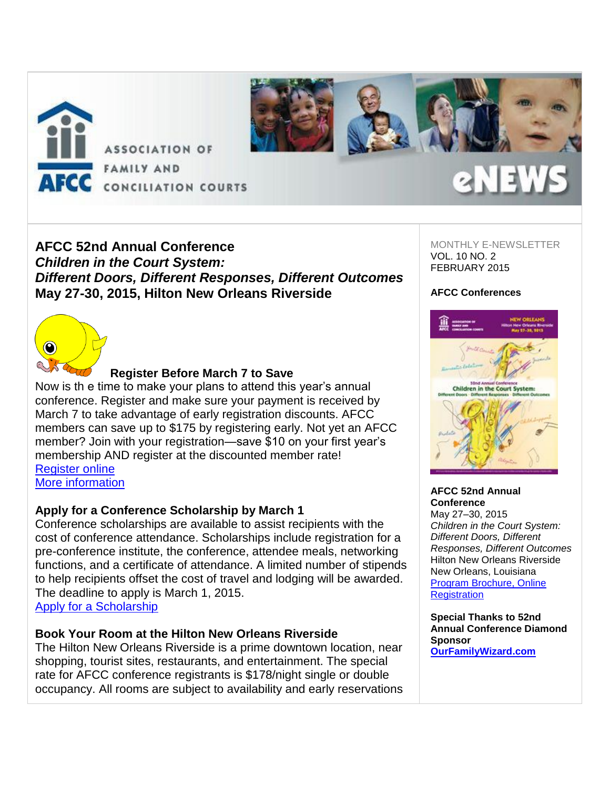

## **AFCC 52nd Annual Conference** *Children in the Court System: Different Doors, Different Responses, Different Outcomes* **May 27-30, 2015, Hilton New Orleans Riverside**

MONTHLY E-NEWSLETTER VOL. 10 NO. 2 FEBRUARY 2015

### **AFCC Conferences**



### **Register Before March 7 to Save**

Now is th e time to make your plans to attend this year's annual conference. Register and make sure your payment is received by March 7 to take advantage of early registration discounts. AFCC members can save up to \$175 by registering early. Not yet an AFCC member? Join with your registration—save \$10 on your first year's membership AND register at the discounted member rate! [Register online](http://afcc.networkats.com/members_online/utilities/emailct.asp?c9602e92fef96cddfef00557819539631ac55dd9c040c2423347b29dd6caff1eb1577df5245f89b8) [More information](http://afcc.networkats.com/members_online/utilities/emailct.asp?03b048c318c108d4e78562daae098c5e68f59057c040c2423347b29dd6caff1eb1577df5245f89b8)

### **Apply for a Conference Scholarship by March 1**

Conference scholarships are available to assist recipients with the cost of conference attendance. Scholarships include registration for a pre-conference institute, the conference, attendee meals, networking functions, and a certificate of attendance. A limited number of stipends to help recipients offset the cost of travel and lodging will be awarded. The deadline to apply is March 1, 2015. [Apply for a Scholarship](http://afcc.networkats.com/members_online/utilities/emailct.asp?5ae1c80a9cd95af525db4a5fcd0852dd35295c86c040c2423347b29dd6caff1eb1577df5245f89b8)

### **Book Your Room at the Hilton New Orleans Riverside**

The Hilton New Orleans Riverside is a prime downtown location, near shopping, tourist sites, restaurants, and entertainment. The special rate for AFCC conference registrants is \$178/night single or double occupancy. All rooms are subject to availability and early reservations



### **AFCC 52nd Annual Conference**

May 27–30, 2015 *Children in the Court System: Different Doors, Different Responses, Different Outcomes* Hilton New Orleans Riverside New Orleans, Louisiana [Program Brochure, Online](http://afcc.networkats.com/members_online/utilities/emailct.asp?03b048c318c108d4e78562daae098c5e68f59057c040c2423347b29dd6caff1eb1577df5245f89b8)  **[Registration](http://afcc.networkats.com/members_online/utilities/emailct.asp?03b048c318c108d4e78562daae098c5e68f59057c040c2423347b29dd6caff1eb1577df5245f89b8)** 

**Special Thanks to 52nd Annual Conference Diamond Sponsor [OurFamilyWizard.com](http://afcc.networkats.com/members_online/utilities/emailct.asp?f9d064df951a29756b4bbf710c8965071a5f6349c040c2423347b29dd6caff1eb1577df5245f89b8)**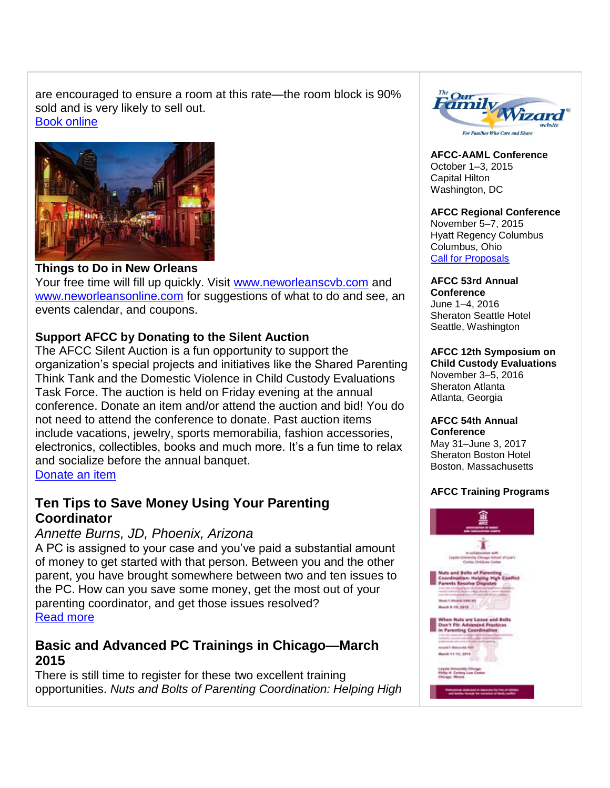are encouraged to ensure a room at this rate—the room block is 90% sold and is very likely to sell out. [Book online](http://afcc.networkats.com/members_online/utilities/emailct.asp?c6f23feec0c90ccf8b3b0fdf533437cac700a667c040c2423347b29dd6caff1eb1577df5245f89b8)



## **Things to Do in New Orleans**

Your free time will fill up quickly. Visit [www.neworleanscvb.com](http://afcc.networkats.com/members_online/utilities/emailct.asp?4dd42e329d55b56979a1997bb9125165985ccaaec040c2423347b29dd6caff1eb1577df5245f89b8) and [www.neworleansonline.com](http://afcc.networkats.com/members_online/utilities/emailct.asp?f0eb47fab6d9e1624950dac9d445a33c2c85d7c5c040c2423347b29dd6caff1eb1577df5245f89b8) for suggestions of what to do and see, an events calendar, and coupons.

## **Support AFCC by Donating to the Silent Auction**

The AFCC Silent Auction is a fun opportunity to support the organization's special projects and initiatives like the Shared Parenting Think Tank and the Domestic Violence in Child Custody Evaluations Task Force. The auction is held on Friday evening at the annual conference. Donate an item and/or attend the auction and bid! You do not need to attend the conference to donate. Past auction items include vacations, jewelry, sports memorabilia, fashion accessories, electronics, collectibles, books and much more. It's a fun time to relax and socialize before the annual banquet. [Donate an item](http://afcc.networkats.com/members_online/utilities/emailct.asp?287731d37df27db65be4bb8794944a8679ef2addc040c2423347b29dd6caff1eb1577df5245f89b8)

# **Ten Tips to Save Money Using Your Parenting Coordinator**

### *Annette Burns, JD, Phoenix, Arizona*

A PC is assigned to your case and you've paid a substantial amount of money to get started with that person. Between you and the other parent, you have brought somewhere between two and ten issues to the PC. How can you save some money, get the most out of your parenting coordinator, and get those issues resolved? [Read more](http://afcc.networkats.com/members_online/utilities/emailct.asp?e22d7681c17e47011ed9b002dea6c3ec38ad51ecc040c2423347b29dd6caff1eb1577df5245f89b8)

# **Basic and Advanced PC Trainings in Chicago—March 2015**

There is still time to register for these two excellent training opportunities. *Nuts and Bolts of Parenting Coordination: Helping High* 



**AFCC-AAML Conference** October 1–3, 2015 Capital Hilton Washington, DC

### **AFCC Regional Conference**

November 5–7, 2015 Hyatt Regency Columbus Columbus, Ohio [Call for Proposals](http://afcc.networkats.com/members_online/utilities/emailct.asp?e7effa2cce7ff44e306a431ad942daec68d72898c040c2423347b29dd6caff1eb1577df5245f89b8)

**AFCC 53rd Annual Conference** June 1–4, 2016

Sheraton Seattle Hotel Seattle, Washington

### **AFCC 12th Symposium on**

**Child Custody Evaluations** November 3–5, 2016 Sheraton Atlanta Atlanta, Georgia

#### **AFCC 54th Annual Conference**

May 31–June 3, 2017 Sheraton Boston Hotel Boston, Massachusetts

### **AFCC Training Programs**

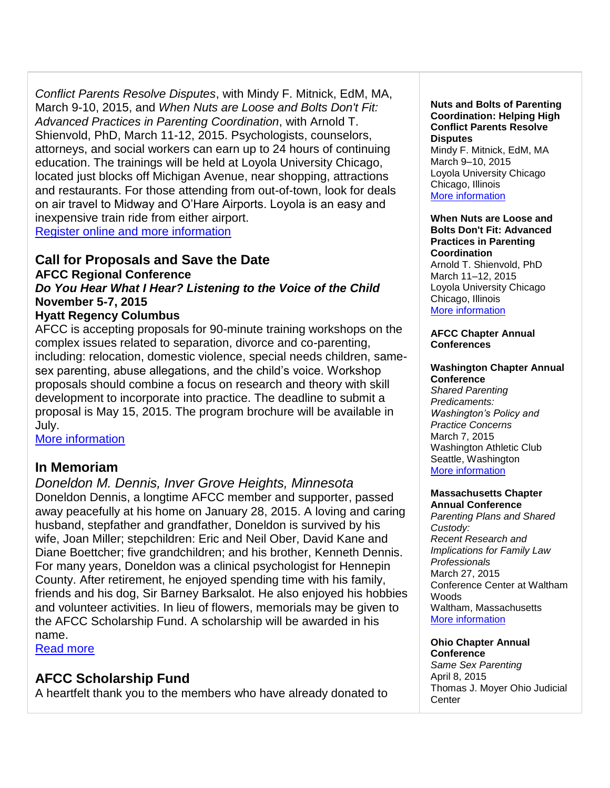*Conflict Parents Resolve Disputes*, with Mindy F. Mitnick, EdM, MA, March 9-10, 2015, and *When Nuts are Loose and Bolts Don't Fit: Advanced Practices in Parenting Coordination*, with Arnold T. Shienvold, PhD, March 11-12, 2015. Psychologists, counselors, attorneys, and social workers can earn up to 24 hours of continuing education. The trainings will be held at Loyola University Chicago, located just blocks off Michigan Avenue, near shopping, attractions and restaurants. For those attending from out-of-town, look for deals on air travel to Midway and O'Hare Airports. Loyola is an easy and inexpensive train ride from either airport. [Register online and more information](http://afcc.networkats.com/members_online/utilities/emailct.asp?a51c6ffd94bcc7a1ea5d3a91cc01577f12e5300dc040c2423347b29dd6caff1eb1577df5245f89b8) 

**Call for Proposals and Save the Date**

**AFCC Regional Conference** 

*Do You Hear What I Hear? Listening to the Voice of the Child*  **November 5-7, 2015**

### **Hyatt Regency Columbus**

AFCC is accepting proposals for 90-minute training workshops on the complex issues related to separation, divorce and co-parenting, including: relocation, domestic violence, special needs children, samesex parenting, abuse allegations, and the child's voice. Workshop proposals should combine a focus on research and theory with skill development to incorporate into practice. The deadline to submit a proposal is May 15, 2015. The program brochure will be available in July.

[More information](http://afcc.networkats.com/members_online/utilities/emailct.asp?e7effa2cce7ff44e306a431ad942daec68d72898c040c2423347b29dd6caff1eb1577df5245f89b8)

## **In Memoriam**

*Doneldon M. Dennis, Inver Grove Heights, Minnesota* Doneldon Dennis, a longtime AFCC member and supporter, passed away peacefully at his home on January 28, 2015. A loving and caring husband, stepfather and grandfather, Doneldon is survived by his wife, Joan Miller; stepchildren: Eric and Neil Ober, David Kane and Diane Boettcher; five grandchildren; and his brother, Kenneth Dennis. For many years, Doneldon was a clinical psychologist for Hennepin County. After retirement, he enjoyed spending time with his family, friends and his dog, Sir Barney Barksalot. He also enjoyed his hobbies and volunteer activities. In lieu of flowers, memorials may be given to the AFCC Scholarship Fund. A scholarship will be awarded in his name.

[Read more](http://afcc.networkats.com/members_online/utilities/emailct.asp?910d1019c747649acb3a4be961fcd2a328e5f0ecc040c2423347b29dd6caff1eb1577df5245f89b8) 

## **AFCC Scholarship Fund**

A heartfelt thank you to the members who have already donated to

### **Nuts and Bolts of Parenting Coordination: Helping High Conflict Parents Resolve Disputes**

Mindy F. Mitnick, EdM, MA March 9–10, 2015 Loyola University Chicago Chicago, Illinois [More information](http://afcc.networkats.com/members_online/utilities/emailct.asp?a51c6ffd94bcc7a1ea5d3a91cc01577f12e5300dc040c2423347b29dd6caff1eb1577df5245f89b8)

#### **When Nuts are Loose and Bolts Don't Fit: Advanced Practices in Parenting Coordination** Arnold T. Shienvold, PhD March 11–12, 2015 Loyola University Chicago Chicago, Illinois [More information](http://afcc.networkats.com/members_online/utilities/emailct.asp?a51c6ffd94bcc7a1ea5d3a91cc01577f12e5300dc040c2423347b29dd6caff1eb1577df5245f89b8)

### **AFCC Chapter Annual Conferences**

### **Washington Chapter Annual Conference**

*Shared Parenting Predicaments: Washington's Policy and Practice Concerns* March 7, 2015 Washington Athletic Club Seattle, Washington [More information](http://afcc.networkats.com/members_online/utilities/emailct.asp?2a503656f7de604a597a167bd19b7b6701a862a2c040c2423347b29dd6caff1eb1577df5245f89b8)

### **Massachusetts Chapter Annual Conference**

*Parenting Plans and Shared Custody: Recent Research and Implications for Family Law Professionals* March 27, 2015 Conference Center at Waltham **Woods** Waltham, Massachusetts [More information](http://afcc.networkats.com/members_online/utilities/emailct.asp?719201d01189e0b08f922ab51a7b9183c239fb8cc040c2423347b29dd6caff1eb1577df5245f89b8) 

## **Ohio Chapter Annual**

**Conference** *Same Sex Parenting* April 8, 2015 Thomas J. Moyer Ohio Judicial **Center**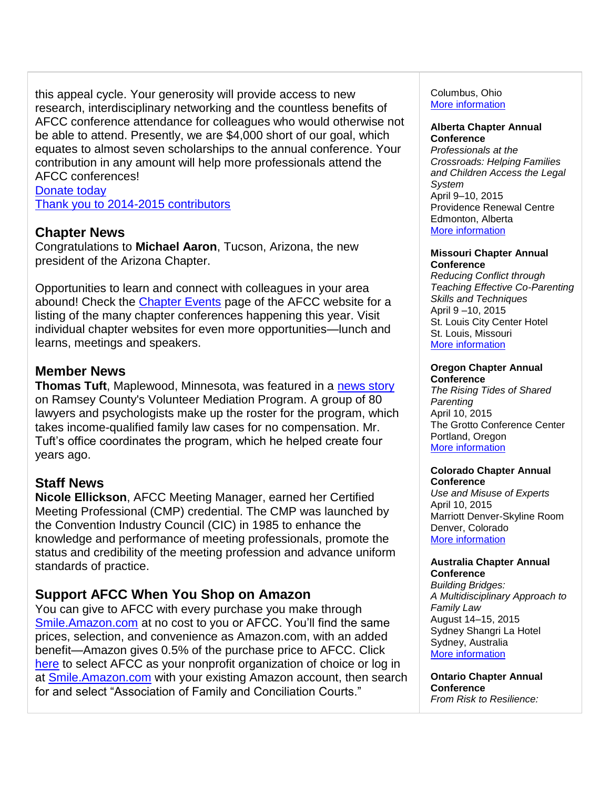this appeal cycle. Your generosity will provide access to new research, interdisciplinary networking and the countless benefits of AFCC conference attendance for colleagues who would otherwise not be able to attend. Presently, we are \$4,000 short of our goal, which equates to almost seven scholarships to the annual conference. Your contribution in any amount will help more professionals attend the AFCC conferences!

[Donate today](http://afcc.networkats.com/members_online/utilities/emailct.asp?ac9d5e2d5e6f96a2c1a0ad8da0b305a06eb8fc16c040c2423347b29dd6caff1eb1577df5245f89b8)  [Thank you to 2014-2015 contributors](http://afcc.networkats.com/members_online/utilities/emailct.asp?3239714bc82a0228569b550e5c9a8a67b5b39a1cc040c2423347b29dd6caff1eb1577df5245f89b8)

## **Chapter News**

Congratulations to **Michael Aaron**, Tucson, Arizona, the new president of the Arizona Chapter.

Opportunities to learn and connect with colleagues in your area abound! Check the [Chapter Events](http://afcc.networkats.com/members_online/utilities/emailct.asp?2d76fc1e7b1035b6d92f6edefde53e2e458b217cc040c2423347b29dd6caff1eb1577df5245f89b8) page of the AFCC website for a listing of the many chapter conferences happening this year. Visit individual chapter websites for even more opportunities—lunch and learns, meetings and speakers.

## **Member News**

**Thomas Tuft**, Maplewood, Minnesota, was featured in a [news story](http://afcc.networkats.com/members_online/utilities/emailct.asp?4e966f88249de2ae0dd196731f68bcd2e4c2254ac040c2423347b29dd6caff1eb1577df5245f89b8) on Ramsey County's Volunteer Mediation Program. A group of 80 lawyers and psychologists make up the roster for the program, which takes income-qualified family law cases for no compensation. Mr. Tuft's office coordinates the program, which he helped create four years ago.

## **Staff News**

**Nicole Ellickson**, AFCC Meeting Manager, earned her Certified Meeting Professional (CMP) credential. The CMP was launched by the Convention Industry Council (CIC) in 1985 to enhance the knowledge and performance of meeting professionals, promote the status and credibility of the meeting profession and advance uniform standards of practice.

## **Support AFCC When You Shop on Amazon**

You can give to AFCC with every purchase you make through [Smile.Amazon.com](http://afcc.networkats.com/members_online/utilities/emailct.asp?d9cce6f9c471643bdf991dc2677b25b42f45f534c040c2423347b29dd6caff1eb1577df5245f89b8) at no cost to you or AFCC. You'll find the same prices, selection, and convenience as Amazon.com, with an added benefit—Amazon gives 0.5% of the purchase price to AFCC. Click [here](http://afcc.networkats.com/members_online/utilities/emailct.asp?d19d8862e6c1a6327bd02254fef691243d88e54ec040c2423347b29dd6caff1eb1577df5245f89b8) to select AFCC as your nonprofit organization of choice or log in at **Smile.Amazon.com** with your existing Amazon account, then search for and select "Association of Family and Conciliation Courts."

### Columbus, Ohio [More information](http://afcc.networkats.com/members_online/utilities/emailct.asp?0302b1efb7cfc0daf5cc1c88c275ff934ffeb608c040c2423347b29dd6caff1eb1577df5245f89b8)

#### **Alberta Chapter Annual Conference**

*Professionals at the Crossroads: Helping Families and Children Access the Legal System* April 9–10, 2015 Providence Renewal Centre Edmonton, Alberta [More information](http://afcc.networkats.com/members_online/utilities/emailct.asp?0a7711c08281c5877de08518c9d570819e0d3d8bc040c2423347b29dd6caff1eb1577df5245f89b8)

### **Missouri Chapter Annual Conference**

*Reducing Conflict through Teaching Effective Co-Parenting Skills and Techniques* April 9 –10, 2015 St. Louis City Center Hotel St. Louis, Missouri [More information](http://afcc.networkats.com/members_online/utilities/emailct.asp?06c99a40f73e03e990bad6e41a14ec306d54874ec040c2423347b29dd6caff1eb1577df5245f89b8)

#### **Oregon Chapter Annual Conference**

*The Rising Tides of Shared Parenting* April 10, 2015 The Grotto Conference Center Portland, Oregon [More information](http://afcc.networkats.com/members_online/utilities/emailct.asp?b5563b51da889749c3263f811fb03c0af2d48de2c040c2423347b29dd6caff1eb1577df5245f89b8)

### **Colorado Chapter Annual Conference**

*Use and Misuse of Experts* April 10, 2015 Marriott Denver-Skyline Room Denver, Colorado [More information](http://afcc.networkats.com/members_online/utilities/emailct.asp?4916b21952b2f9ab22ce66a789432146c3211d4dc040c2423347b29dd6caff1eb1577df5245f89b8) 

### **Australia Chapter Annual Conference**

*Building Bridges: A Multidisciplinary Approach to Family Law* August 14–15, 2015 Sydney Shangri La Hotel Sydney, Australia [More information](mailto:drjenniferneoh@gmail.com) 

**Ontario Chapter Annual Conference** *From Risk to Resilience:*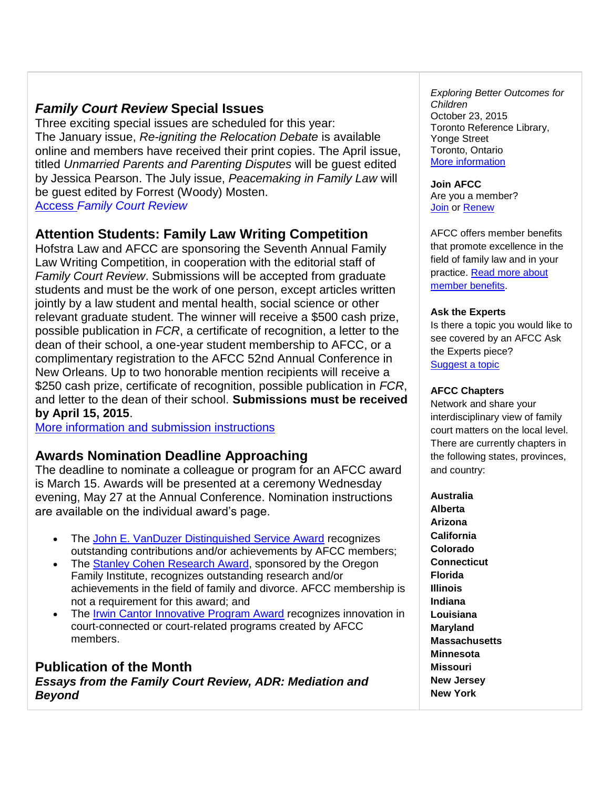# *Family Court Review* **Special Issues**

Three exciting special issues are scheduled for this year: The January issue, *Re-igniting the Relocation Debate* is available online and members have received their print copies. The April issue, titled *Unmarried Parents and Parenting Disputes* will be guest edited by Jessica Pearson. The July issue, *Peacemaking in Family Law* will be guest edited by Forrest (Woody) Mosten. Access *[Family Court Review](http://afcc.networkats.com/members_online/utilities/emailct.asp?1f853039b877976ebb0feb85fa36967a6d8e2777c040c2423347b29dd6caff1eb1577df5245f89b8)*

# **Attention Students: Family Law Writing Competition**

Hofstra Law and AFCC are sponsoring the Seventh Annual Family Law Writing Competition, in cooperation with the editorial staff of *Family Court Review*. Submissions will be accepted from graduate students and must be the work of one person, except articles written jointly by a law student and mental health, social science or other relevant graduate student. The winner will receive a \$500 cash prize, possible publication in *FCR*, a certificate of recognition, a letter to the dean of their school, a one-year student membership to AFCC, or a complimentary registration to the AFCC 52nd Annual Conference in New Orleans. Up to two honorable mention recipients will receive a \$250 cash prize, certificate of recognition, possible publication in *FCR*, and letter to the dean of their school. **Submissions must be received by April 15, 2015**.

[More information and submission instructions](http://afcc.networkats.com/members_online/utilities/emailct.asp?bffb7abf627742a0ec4e98a42b32666db5654b25c040c2423347b29dd6caff1eb1577df5245f89b8)

## **Awards Nomination Deadline Approaching**

The deadline to nominate a colleague or program for an AFCC award is March 15. Awards will be presented at a ceremony Wednesday evening, May 27 at the Annual Conference. Nomination instructions are available on the individual award's page.

- The [John E. VanDuzer Distinguished Service Award](http://afcc.networkats.com/members_online/utilities/emailct.asp?e86ae2f557ff069281eeb94038c392177c6d4844c040c2423347b29dd6caff1eb1577df5245f89b8) recognizes outstanding contributions and/or achievements by AFCC members;
- The [Stanley Cohen Research Award,](http://afcc.networkats.com/members_online/utilities/emailct.asp?f7571c6f7aa3b5cd39b7270ff5b52e51b56317f8c040c2423347b29dd6caff1eb1577df5245f89b8) sponsored by the Oregon Family Institute, recognizes outstanding research and/or achievements in the field of family and divorce. AFCC membership is not a requirement for this award; and
- The [Irwin Cantor Innovative Program Award](http://afcc.networkats.com/members_online/utilities/emailct.asp?2b544cb4dc1c04183faacb0c4e510cf4c2db79d9c040c2423347b29dd6caff1eb1577df5245f89b8) recognizes innovation in court-connected or court-related programs created by AFCC members.

## **Publication of the Month** *Essays from the Family Court Review, ADR: Mediation and Beyond*

*Exploring Better Outcomes for Children* October 23, 2015 Toronto Reference Library, Yonge Street Toronto, Ontario [More information](http://afcc.networkats.com/members_online/utilities/emailct.asp?cbe424430d37cdaba858ebb320bf313afb65a9ccc040c2423347b29dd6caff1eb1577df5245f89b8) 

**Join AFCC** Are you a member? **[Join](http://afcc.networkats.com/members_online/utilities/emailct.asp?49711aa0ad3b5573191bcf403af0d2b01c543a34c040c2423347b29dd6caff1eb1577df5245f89b8) or [Renew](http://afcc.networkats.com/members_online/utilities/emailct.asp?409dd25a4c6304039dc3568b547126b1f9ae9387c040c2423347b29dd6caff1eb1577df5245f89b8)** 

AFCC offers member benefits that promote excellence in the field of family law and in your practice. [Read more about](http://afcc.networkats.com/members_online/utilities/emailct.asp?afa37bddaaa4a00a68700317917339d20ec519aec040c2423347b29dd6caff1eb1577df5245f89b8)  [member benefits.](http://afcc.networkats.com/members_online/utilities/emailct.asp?afa37bddaaa4a00a68700317917339d20ec519aec040c2423347b29dd6caff1eb1577df5245f89b8)

### **Ask the Experts**

Is there a topic you would like to see covered by an AFCC Ask the Experts piece? [Suggest a topic](mailto:editor@afccnet.org)

### **AFCC Chapters**

Network and share your interdisciplinary view of family court matters on the local level. There are currently chapters in the following states, provinces, and country:

**Australia Alberta Arizona California Colorado Connecticut Florida Illinois Indiana Louisiana Maryland Massachusetts Minnesota Missouri New Jersey New York**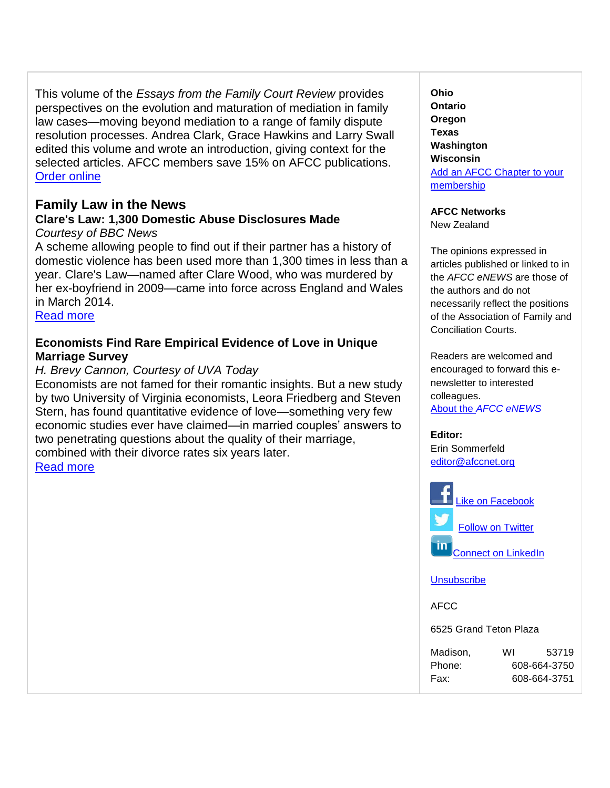This volume of the *Essays from the Family Court Review* provides perspectives on the evolution and maturation of mediation in family law cases—moving beyond mediation to a range of family dispute resolution processes. Andrea Clark, Grace Hawkins and Larry Swall edited this volume and wrote an introduction, giving context for the selected articles. AFCC members save 15% on AFCC publications. [Order online](http://afcc.networkats.com/members_online/utilities/emailct.asp?608f4b3e3cc6594a80886e9dd71250217b860126c040c2423347b29dd6caff1eb1577df5245f89b8)

## **Family Law in the News**

### **Clare's Law: 1,300 Domestic Abuse Disclosures Made** *Courtesy of BBC News*

A scheme allowing people to find out if their partner has a history of domestic violence has been used more than 1,300 times in less than a year. Clare's Law—named after Clare Wood, who was murdered by her ex-boyfriend in 2009—came into force across England and Wales in March 2014.

[Read more](http://afcc.networkats.com/members_online/utilities/emailct.asp?9ae1c00f3acc3508b1d4bdf5df710cb5f87e4534c040c2423347b29dd6caff1eb1577df5245f89b8)

## **Economists Find Rare Empirical Evidence of Love in Unique Marriage Survey**

## *H. Brevy Cannon, Courtesy of UVA Today*

Economists are not famed for their romantic insights. But a new study by two University of Virginia economists, Leora Friedberg and Steven Stern, has found quantitative evidence of love—something very few economic studies ever have claimed—in married couples' answers to two penetrating questions about the quality of their marriage, combined with their divorce rates six years later.

[Read more](http://afcc.networkats.com/members_online/utilities/emailct.asp?45091a51dcf8c9f5faed8e7e316aa909dc2ff7c4c040c2423347b29dd6caff1eb1577df5245f89b8) 

**Ohio Ontario Oregon Texas Washington Wisconsin** [Add an AFCC Chapter to your](http://afcc.networkats.com/members_online/utilities/emailct.asp?fb07019e7c95a2fb09808df53729375c8fee24c8c040c2423347b29dd6caff1eb1577df5245f89b8)  [membership](http://afcc.networkats.com/members_online/utilities/emailct.asp?fb07019e7c95a2fb09808df53729375c8fee24c8c040c2423347b29dd6caff1eb1577df5245f89b8)

**AFCC Networks**

New Zealand

The opinions expressed in articles published or linked to in the *AFCC eNEWS* are those of the authors and do not necessarily reflect the positions of the Association of Family and Conciliation Courts.

Readers are welcomed and encouraged to forward this enewsletter to interested colleagues.

About the *[AFCC eNEWS](http://afcc.networkats.com/members_online/utilities/emailct.asp?8cc5f663dad8d6eb1e885c4da76313aa3c09b880c040c2423347b29dd6caff1eb1577df5245f89b8)*

**Editor:**  Erin Sommerfeld [editor@afccnet.org](mailto:editor@afccnet.org)



**[Unsubscribe](mailto:afcc@afccnet.org)** 

AFCC

6525 Grand Teton Plaza

| Madison, | WI           | 53719        |
|----------|--------------|--------------|
| Phone:   | 608-664-3750 |              |
| Fax:     |              | 608-664-3751 |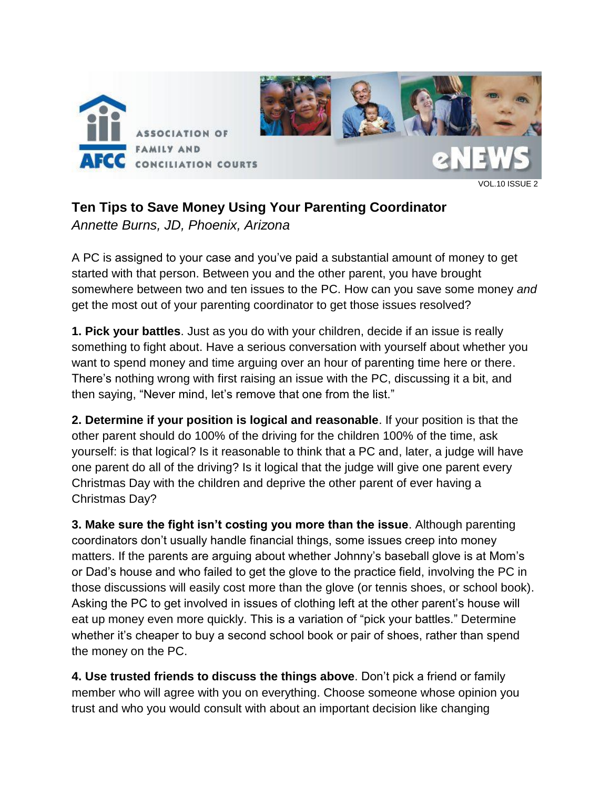

#### VOL.10 ISSUE 2

# **Ten Tips to Save Money Using Your Parenting Coordinator**

*Annette Burns, JD, Phoenix, Arizona*

A PC is assigned to your case and you've paid a substantial amount of money to get started with that person. Between you and the other parent, you have brought somewhere between two and ten issues to the PC. How can you save some money *and* get the most out of your parenting coordinator to get those issues resolved?

**1. Pick your battles**. Just as you do with your children, decide if an issue is really something to fight about. Have a serious conversation with yourself about whether you want to spend money and time arguing over an hour of parenting time here or there. There's nothing wrong with first raising an issue with the PC, discussing it a bit, and then saying, "Never mind, let's remove that one from the list."

**2. Determine if your position is logical and reasonable**. If your position is that the other parent should do 100% of the driving for the children 100% of the time, ask yourself: is that logical? Is it reasonable to think that a PC and, later, a judge will have one parent do all of the driving? Is it logical that the judge will give one parent every Christmas Day with the children and deprive the other parent of ever having a Christmas Day?

**3. Make sure the fight isn't costing you more than the issue**. Although parenting coordinators don't usually handle financial things, some issues creep into money matters. If the parents are arguing about whether Johnny's baseball glove is at Mom's or Dad's house and who failed to get the glove to the practice field, involving the PC in those discussions will easily cost more than the glove (or tennis shoes, or school book). Asking the PC to get involved in issues of clothing left at the other parent's house will eat up money even more quickly. This is a variation of "pick your battles." Determine whether it's cheaper to buy a second school book or pair of shoes, rather than spend the money on the PC.

**4. Use trusted friends to discuss the things above**. Don't pick a friend or family member who will agree with you on everything. Choose someone whose opinion you trust and who you would consult with about an important decision like changing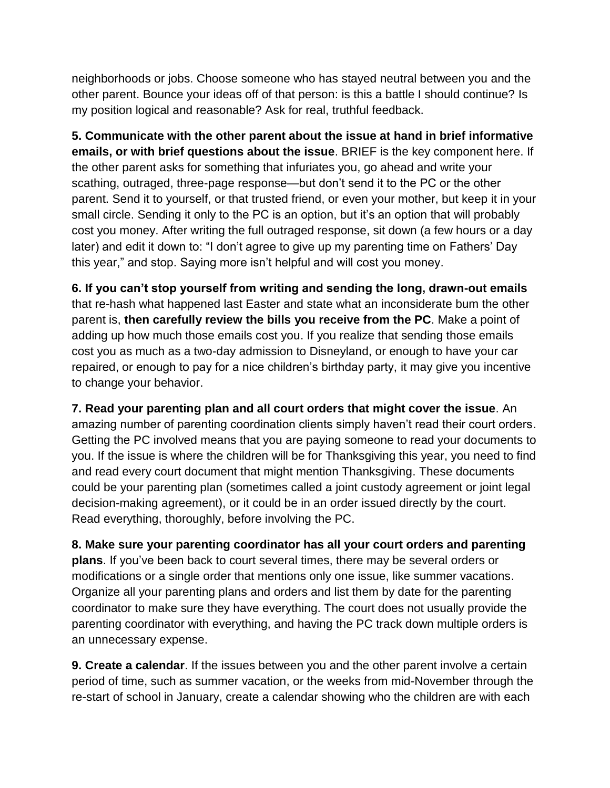neighborhoods or jobs. Choose someone who has stayed neutral between you and the other parent. Bounce your ideas off of that person: is this a battle I should continue? Is my position logical and reasonable? Ask for real, truthful feedback.

**5. Communicate with the other parent about the issue at hand in brief informative emails, or with brief questions about the issue**. BRIEF is the key component here. If the other parent asks for something that infuriates you, go ahead and write your scathing, outraged, three-page response—but don't send it to the PC or the other parent. Send it to yourself, or that trusted friend, or even your mother, but keep it in your small circle. Sending it only to the PC is an option, but it's an option that will probably cost you money. After writing the full outraged response, sit down (a few hours or a day later) and edit it down to: "I don't agree to give up my parenting time on Fathers' Day this year," and stop. Saying more isn't helpful and will cost you money.

**6. If you can't stop yourself from writing and sending the long, drawn-out emails** that re-hash what happened last Easter and state what an inconsiderate bum the other parent is, **then carefully review the bills you receive from the PC**. Make a point of adding up how much those emails cost you. If you realize that sending those emails cost you as much as a two-day admission to Disneyland, or enough to have your car repaired, or enough to pay for a nice children's birthday party, it may give you incentive to change your behavior.

**7. Read your parenting plan and all court orders that might cover the issue**. An amazing number of parenting coordination clients simply haven't read their court orders. Getting the PC involved means that you are paying someone to read your documents to you. If the issue is where the children will be for Thanksgiving this year, you need to find and read every court document that might mention Thanksgiving. These documents could be your parenting plan (sometimes called a joint custody agreement or joint legal decision-making agreement), or it could be in an order issued directly by the court. Read everything, thoroughly, before involving the PC.

**8. Make sure your parenting coordinator has all your court orders and parenting plans**. If you've been back to court several times, there may be several orders or modifications or a single order that mentions only one issue, like summer vacations. Organize all your parenting plans and orders and list them by date for the parenting coordinator to make sure they have everything. The court does not usually provide the parenting coordinator with everything, and having the PC track down multiple orders is an unnecessary expense.

**9. Create a calendar**. If the issues between you and the other parent involve a certain period of time, such as summer vacation, or the weeks from mid-November through the re-start of school in January, create a calendar showing who the children are with each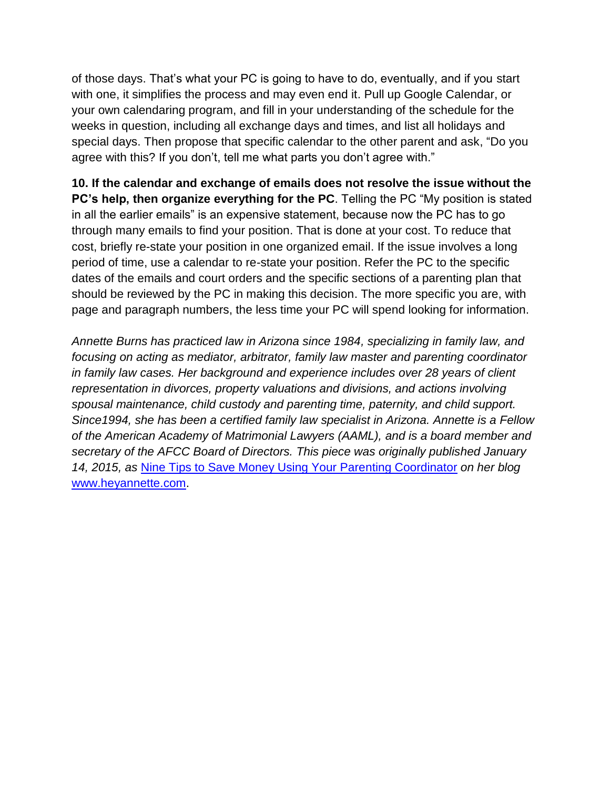of those days. That's what your PC is going to have to do, eventually, and if you start with one, it simplifies the process and may even end it. Pull up Google Calendar, or your own calendaring program, and fill in your understanding of the schedule for the weeks in question, including all exchange days and times, and list all holidays and special days. Then propose that specific calendar to the other parent and ask, "Do you agree with this? If you don't, tell me what parts you don't agree with."

**10. If the calendar and exchange of emails does not resolve the issue without the PC's help, then organize everything for the PC**. Telling the PC "My position is stated in all the earlier emails" is an expensive statement, because now the PC has to go through many emails to find your position. That is done at your cost. To reduce that cost, briefly re-state your position in one organized email. If the issue involves a long period of time, use a calendar to re-state your position. Refer the PC to the specific dates of the emails and court orders and the specific sections of a parenting plan that should be reviewed by the PC in making this decision. The more specific you are, with page and paragraph numbers, the less time your PC will spend looking for information.

*Annette Burns has practiced law in Arizona since 1984, specializing in family law, and focusing on acting as mediator, arbitrator, family law master and parenting coordinator in family law cases. Her background and experience includes over 28 years of client representation in divorces, property valuations and divisions, and actions involving spousal maintenance, child custody and parenting time, paternity, and child support. Since1994, she has been a certified family law specialist in Arizona. Annette is a Fellow of the American Academy of Matrimonial Lawyers (AAML), and is a board member and secretary of the AFCC Board of Directors. This piece was originally published January 14, 2015, as* [Nine Tips to Save Money Using Your Parenting Coordinator](http://heyannette.com/nine-tips-to-save-money-using-your-parenting-coordinator/) *on her blog* [www.heyannette.com.](http://www.heyannette.com/)